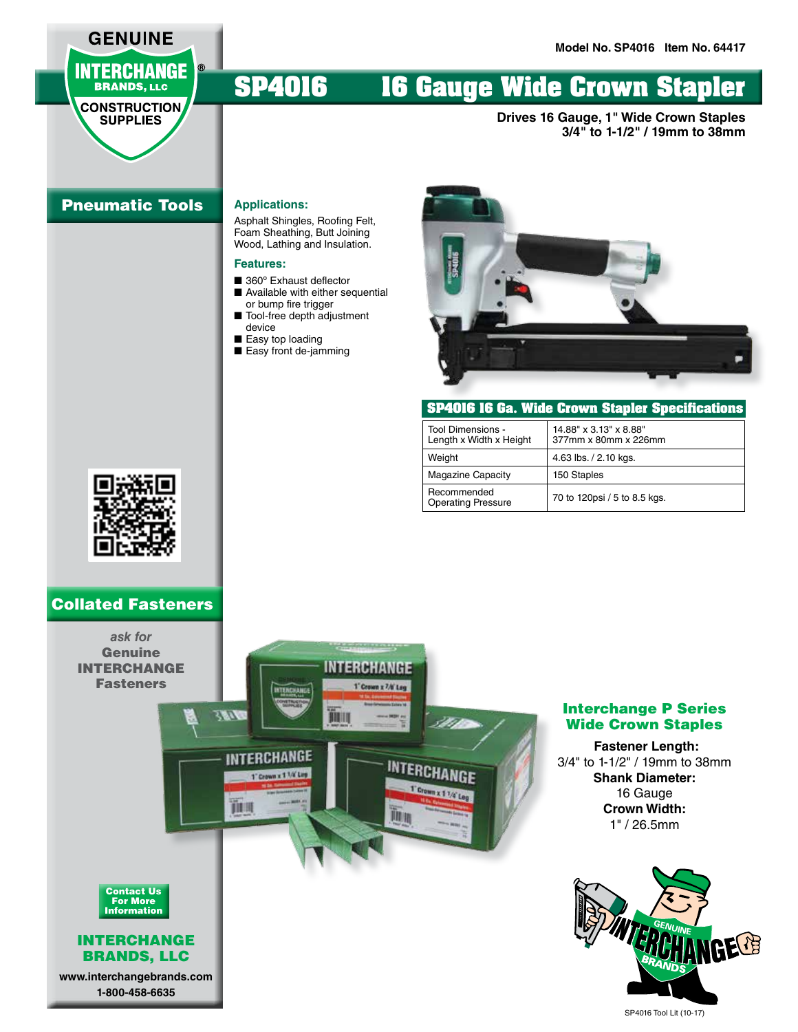# **INTERCHANGE BRANDS, LLC**

**GENUINE** 

#### **CONSTRUCTION SUPPLIES**

# **SP4016 16 Gauge Wide Crown Stapler**

**Drives 16 Gauge, 1" Wide Crown Staples 3/4" to 1-1/2" / 19mm to 38mm**

# Pneumatic Tools

#### **Applications:**

Asphalt Shingles, Roofing Felt, Foam Sheathing, Butt Joining Wood, Lathing and Insulation.

### **Features:**

- 360° Exhaust deflector ■ Available with either sequential
- or bump fire trigger ■ Tool-free depth adjustment device
- Easy top loading
- Easy front de-jamming



| SP4016 16 Ga. Wide Crown Stapler Specifications |                                                |
|-------------------------------------------------|------------------------------------------------|
| Tool Dimensions -<br>Length x Width x Height    | 14.88" x 3.13" x 8.88"<br>377mm x 80mm x 226mm |
| Weight                                          | 4.63 lbs. / 2.10 kgs.                          |
| <b>Magazine Capacity</b>                        | 150 Staples                                    |
| Recommended<br><b>Operating Pressure</b>        | 70 to 120psi / 5 to 8.5 kgs.                   |



# Collated Fasteners



### Interchange P Series Wide Crown Staples

# **Fastener Length:** 3/4" to 1-1/2" / 19mm to 38mm **Shank Diameter:** 16 Gauge **Crown Width:** 1" / 26.5mm